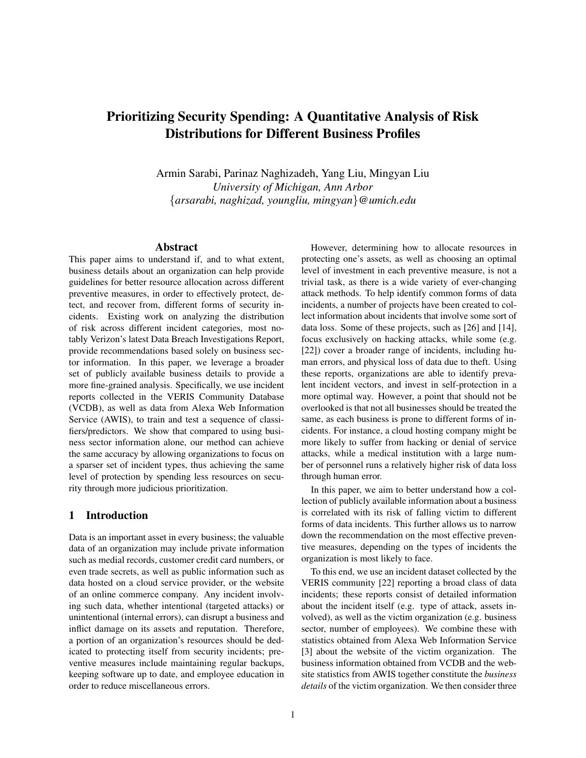## Prioritizing Security Spending: A Quantitative Analysis of Risk Distributions for Different Business Profiles

Armin Sarabi, Parinaz Naghizadeh, Yang Liu, Mingyan Liu *University of Michigan, Ann Arbor* {*arsarabi, naghizad, youngliu, mingyan*}*@umich.edu*

## Abstract

This paper aims to understand if, and to what extent, business details about an organization can help provide guidelines for better resource allocation across different preventive measures, in order to effectively protect, detect, and recover from, different forms of security incidents. Existing work on analyzing the distribution of risk across different incident categories, most notably Verizon's latest Data Breach Investigations Report, provide recommendations based solely on business sector information. In this paper, we leverage a broader set of publicly available business details to provide a more fine-grained analysis. Specifically, we use incident reports collected in the VERIS Community Database (VCDB), as well as data from Alexa Web Information Service (AWIS), to train and test a sequence of classifiers/predictors. We show that compared to using business sector information alone, our method can achieve the same accuracy by allowing organizations to focus on a sparser set of incident types, thus achieving the same level of protection by spending less resources on security through more judicious prioritization.

## 1 Introduction

Data is an important asset in every business; the valuable data of an organization may include private information such as medial records, customer credit card numbers, or even trade secrets, as well as public information such as data hosted on a cloud service provider, or the website of an online commerce company. Any incident involving such data, whether intentional (targeted attacks) or unintentional (internal errors), can disrupt a business and inflict damage on its assets and reputation. Therefore, a portion of an organization's resources should be dedicated to protecting itself from security incidents; preventive measures include maintaining regular backups, keeping software up to date, and employee education in order to reduce miscellaneous errors.

However, determining how to allocate resources in protecting one's assets, as well as choosing an optimal level of investment in each preventive measure, is not a trivial task, as there is a wide variety of ever-changing attack methods. To help identify common forms of data incidents, a number of projects have been created to collect information about incidents that involve some sort of data loss. Some of these projects, such as [26] and [14], focus exclusively on hacking attacks, while some (e.g. [22]) cover a broader range of incidents, including human errors, and physical loss of data due to theft. Using these reports, organizations are able to identify prevalent incident vectors, and invest in self-protection in a more optimal way. However, a point that should not be overlooked is that not all businesses should be treated the same, as each business is prone to different forms of incidents. For instance, a cloud hosting company might be more likely to suffer from hacking or denial of service attacks, while a medical institution with a large number of personnel runs a relatively higher risk of data loss through human error.

In this paper, we aim to better understand how a collection of publicly available information about a business is correlated with its risk of falling victim to different forms of data incidents. This further allows us to narrow down the recommendation on the most effective preventive measures, depending on the types of incidents the organization is most likely to face.

To this end, we use an incident dataset collected by the VERIS community [22] reporting a broad class of data incidents; these reports consist of detailed information about the incident itself (e.g. type of attack, assets involved), as well as the victim organization (e.g. business sector, number of employees). We combine these with statistics obtained from Alexa Web Information Service [3] about the website of the victim organization. The business information obtained from VCDB and the website statistics from AWIS together constitute the *business details* of the victim organization. We then consider three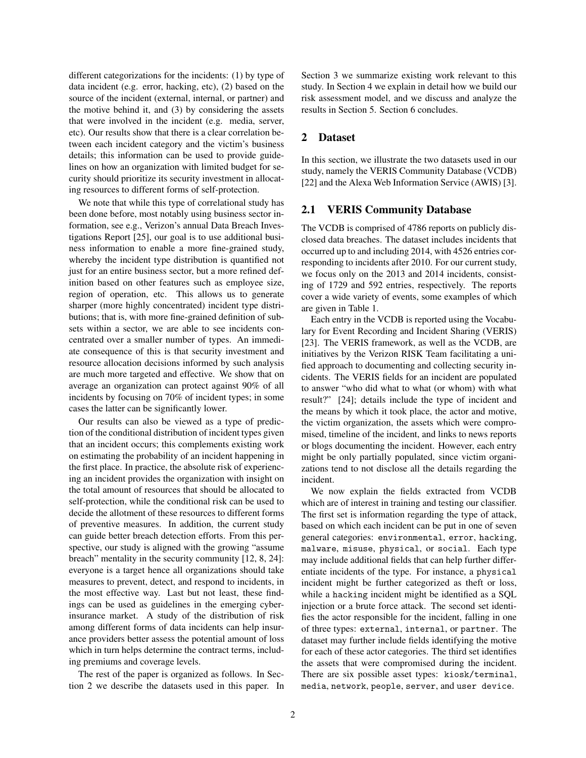different categorizations for the incidents: (1) by type of data incident (e.g. error, hacking, etc), (2) based on the source of the incident (external, internal, or partner) and the motive behind it, and (3) by considering the assets that were involved in the incident (e.g. media, server, etc). Our results show that there is a clear correlation between each incident category and the victim's business details; this information can be used to provide guidelines on how an organization with limited budget for security should prioritize its security investment in allocating resources to different forms of self-protection.

We note that while this type of correlational study has been done before, most notably using business sector information, see e.g., Verizon's annual Data Breach Investigations Report [25], our goal is to use additional business information to enable a more fine-grained study, whereby the incident type distribution is quantified not just for an entire business sector, but a more refined definition based on other features such as employee size, region of operation, etc. This allows us to generate sharper (more highly concentrated) incident type distributions; that is, with more fine-grained definition of subsets within a sector, we are able to see incidents concentrated over a smaller number of types. An immediate consequence of this is that security investment and resource allocation decisions informed by such analysis are much more targeted and effective. We show that on average an organization can protect against 90% of all incidents by focusing on 70% of incident types; in some cases the latter can be significantly lower.

Our results can also be viewed as a type of prediction of the conditional distribution of incident types given that an incident occurs; this complements existing work on estimating the probability of an incident happening in the first place. In practice, the absolute risk of experiencing an incident provides the organization with insight on the total amount of resources that should be allocated to self-protection, while the conditional risk can be used to decide the allotment of these resources to different forms of preventive measures. In addition, the current study can guide better breach detection efforts. From this perspective, our study is aligned with the growing "assume breach" mentality in the security community [12, 8, 24]: everyone is a target hence all organizations should take measures to prevent, detect, and respond to incidents, in the most effective way. Last but not least, these findings can be used as guidelines in the emerging cyberinsurance market. A study of the distribution of risk among different forms of data incidents can help insurance providers better assess the potential amount of loss which in turn helps determine the contract terms, including premiums and coverage levels.

The rest of the paper is organized as follows. In Section 2 we describe the datasets used in this paper. In Section 3 we summarize existing work relevant to this study. In Section 4 we explain in detail how we build our risk assessment model, and we discuss and analyze the results in Section 5. Section 6 concludes.

## 2 Dataset

In this section, we illustrate the two datasets used in our study, namely the VERIS Community Database (VCDB) [22] and the Alexa Web Information Service (AWIS) [3].

#### 2.1 VERIS Community Database

The VCDB is comprised of 4786 reports on publicly disclosed data breaches. The dataset includes incidents that occurred up to and including 2014, with 4526 entries corresponding to incidents after 2010. For our current study, we focus only on the 2013 and 2014 incidents, consisting of 1729 and 592 entries, respectively. The reports cover a wide variety of events, some examples of which are given in Table 1.

Each entry in the VCDB is reported using the Vocabulary for Event Recording and Incident Sharing (VERIS) [23]. The VERIS framework, as well as the VCDB, are initiatives by the Verizon RISK Team facilitating a unified approach to documenting and collecting security incidents. The VERIS fields for an incident are populated to answer "who did what to what (or whom) with what result?" [24]; details include the type of incident and the means by which it took place, the actor and motive, the victim organization, the assets which were compromised, timeline of the incident, and links to news reports or blogs documenting the incident. However, each entry might be only partially populated, since victim organizations tend to not disclose all the details regarding the incident.

We now explain the fields extracted from VCDB which are of interest in training and testing our classifier. The first set is information regarding the type of attack, based on which each incident can be put in one of seven general categories: environmental, error, hacking, malware, misuse, physical, or social. Each type may include additional fields that can help further differentiate incidents of the type. For instance, a physical incident might be further categorized as theft or loss, while a hacking incident might be identified as a SQL injection or a brute force attack. The second set identifies the actor responsible for the incident, falling in one of three types: external, internal, or partner. The dataset may further include fields identifying the motive for each of these actor categories. The third set identifies the assets that were compromised during the incident. There are six possible asset types: kiosk/terminal, media, network, people, server, and user device.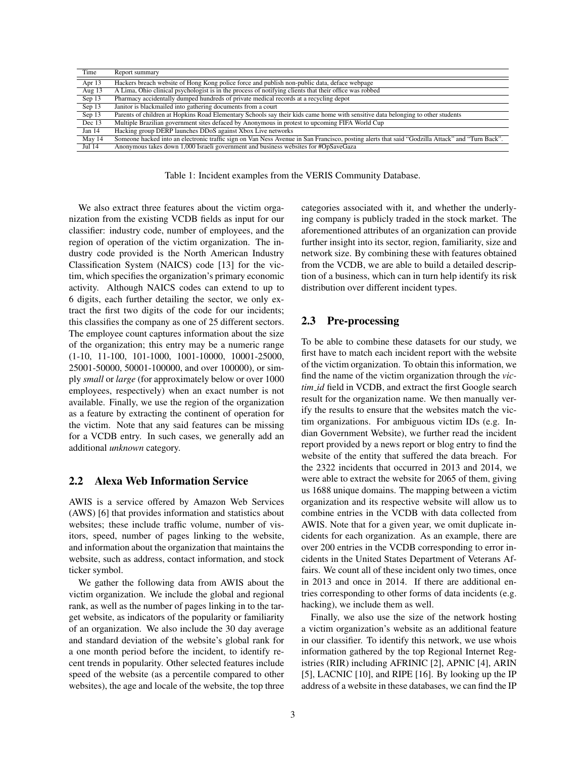| Time     | Report summary                                                                                                                                  |
|----------|-------------------------------------------------------------------------------------------------------------------------------------------------|
| Apr 13   | Hackers breach website of Hong Kong police force and publish non-public data, deface webpage                                                    |
| Aug 13   | A Lima, Ohio clinical psychologist is in the process of notifying clients that their office was robbed                                          |
| Sep 13   | Pharmacy accidentally dumped hundreds of private medical records at a recycling depot                                                           |
| Sep 13   | Janitor is blackmailed into gathering documents from a court                                                                                    |
| Sep 13   | Parents of children at Hopkins Road Elementary Schools say their kids came home with sensitive data belonging to other students                 |
| Dec $13$ | Multiple Brazilian government sites defaced by Anonymous in protest to upcoming FIFA World Cup                                                  |
| Jan 14   | Hacking group DERP launches DDoS against Xbox Live networks                                                                                     |
| May 14   | Someone hacked into an electronic traffic sign on Van Ness Avenue in San Francisco, posting alerts that said "Godzilla Attack" and "Turn Back". |
| Jul 14   | Anonymous takes down 1,000 Israeli government and business websites for #OpSaveGaza                                                             |
|          |                                                                                                                                                 |

Table 1: Incident examples from the VERIS Community Database.

We also extract three features about the victim organization from the existing VCDB fields as input for our classifier: industry code, number of employees, and the region of operation of the victim organization. The industry code provided is the North American Industry Classification System (NAICS) code [13] for the victim, which specifies the organization's primary economic activity. Although NAICS codes can extend to up to 6 digits, each further detailing the sector, we only extract the first two digits of the code for our incidents; this classifies the company as one of 25 different sectors. The employee count captures information about the size of the organization; this entry may be a numeric range (1-10, 11-100, 101-1000, 1001-10000, 10001-25000, 25001-50000, 50001-100000, and over 100000), or simply *small* or *large* (for approximately below or over 1000 employees, respectively) when an exact number is not available. Finally, we use the region of the organization as a feature by extracting the continent of operation for the victim. Note that any said features can be missing for a VCDB entry. In such cases, we generally add an additional *unknown* category.

#### 2.2 Alexa Web Information Service

AWIS is a service offered by Amazon Web Services (AWS) [6] that provides information and statistics about websites; these include traffic volume, number of visitors, speed, number of pages linking to the website, and information about the organization that maintains the website, such as address, contact information, and stock ticker symbol.

We gather the following data from AWIS about the victim organization. We include the global and regional rank, as well as the number of pages linking in to the target website, as indicators of the popularity or familiarity of an organization. We also include the 30 day average and standard deviation of the website's global rank for a one month period before the incident, to identify recent trends in popularity. Other selected features include speed of the website (as a percentile compared to other websites), the age and locale of the website, the top three categories associated with it, and whether the underlying company is publicly traded in the stock market. The aforementioned attributes of an organization can provide further insight into its sector, region, familiarity, size and network size. By combining these with features obtained from the VCDB, we are able to build a detailed description of a business, which can in turn help identify its risk distribution over different incident types.

## 2.3 Pre-processing

To be able to combine these datasets for our study, we first have to match each incident report with the website of the victim organization. To obtain this information, we find the name of the victim organization through the *victim id* field in VCDB, and extract the first Google search result for the organization name. We then manually verify the results to ensure that the websites match the victim organizations. For ambiguous victim IDs (e.g. Indian Government Website), we further read the incident report provided by a news report or blog entry to find the website of the entity that suffered the data breach. For the 2322 incidents that occurred in 2013 and 2014, we were able to extract the website for 2065 of them, giving us 1688 unique domains. The mapping between a victim organization and its respective website will allow us to combine entries in the VCDB with data collected from AWIS. Note that for a given year, we omit duplicate incidents for each organization. As an example, there are over 200 entries in the VCDB corresponding to error incidents in the United States Department of Veterans Affairs. We count all of these incident only two times, once in 2013 and once in 2014. If there are additional entries corresponding to other forms of data incidents (e.g. hacking), we include them as well.

Finally, we also use the size of the network hosting a victim organization's website as an additional feature in our classifier. To identify this network, we use whois information gathered by the top Regional Internet Registries (RIR) including AFRINIC [2], APNIC [4], ARIN [5], LACNIC [10], and RIPE [16]. By looking up the IP address of a website in these databases, we can find the IP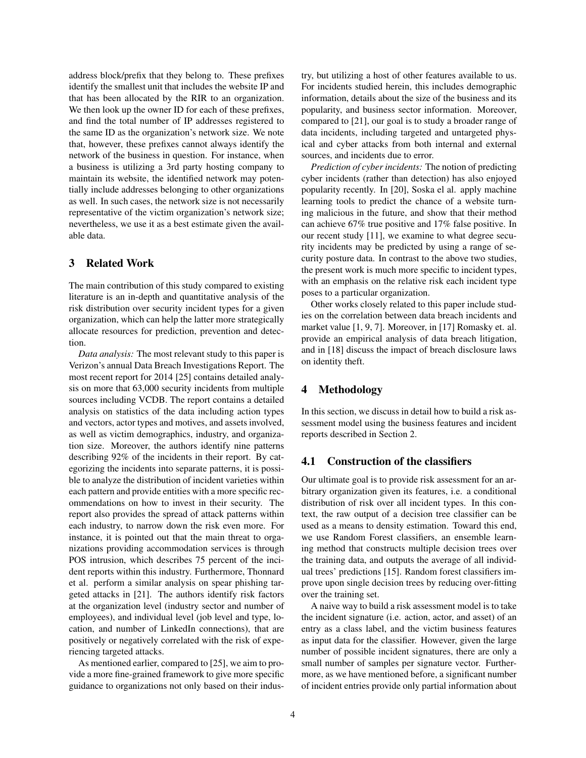address block/prefix that they belong to. These prefixes identify the smallest unit that includes the website IP and that has been allocated by the RIR to an organization. We then look up the owner ID for each of these prefixes, and find the total number of IP addresses registered to the same ID as the organization's network size. We note that, however, these prefixes cannot always identify the network of the business in question. For instance, when a business is utilizing a 3rd party hosting company to maintain its website, the identified network may potentially include addresses belonging to other organizations as well. In such cases, the network size is not necessarily representative of the victim organization's network size; nevertheless, we use it as a best estimate given the available data.

## 3 Related Work

The main contribution of this study compared to existing literature is an in-depth and quantitative analysis of the risk distribution over security incident types for a given organization, which can help the latter more strategically allocate resources for prediction, prevention and detection.

*Data analysis:* The most relevant study to this paper is Verizon's annual Data Breach Investigations Report. The most recent report for 2014 [25] contains detailed analysis on more that 63,000 security incidents from multiple sources including VCDB. The report contains a detailed analysis on statistics of the data including action types and vectors, actor types and motives, and assets involved, as well as victim demographics, industry, and organization size. Moreover, the authors identify nine patterns describing 92% of the incidents in their report. By categorizing the incidents into separate patterns, it is possible to analyze the distribution of incident varieties within each pattern and provide entities with a more specific recommendations on how to invest in their security. The report also provides the spread of attack patterns within each industry, to narrow down the risk even more. For instance, it is pointed out that the main threat to organizations providing accommodation services is through POS intrusion, which describes 75 percent of the incident reports within this industry. Furthermore, Thonnard et al. perform a similar analysis on spear phishing targeted attacks in [21]. The authors identify risk factors at the organization level (industry sector and number of employees), and individual level (job level and type, location, and number of LinkedIn connections), that are positively or negatively correlated with the risk of experiencing targeted attacks.

As mentioned earlier, compared to [25], we aim to provide a more fine-grained framework to give more specific guidance to organizations not only based on their industry, but utilizing a host of other features available to us. For incidents studied herein, this includes demographic information, details about the size of the business and its popularity, and business sector information. Moreover, compared to [21], our goal is to study a broader range of data incidents, including targeted and untargeted physical and cyber attacks from both internal and external sources, and incidents due to error.

*Prediction of cyber incidents:* The notion of predicting cyber incidents (rather than detection) has also enjoyed popularity recently. In [20], Soska el al. apply machine learning tools to predict the chance of a website turning malicious in the future, and show that their method can achieve 67% true positive and 17% false positive. In our recent study [11], we examine to what degree security incidents may be predicted by using a range of security posture data. In contrast to the above two studies, the present work is much more specific to incident types, with an emphasis on the relative risk each incident type poses to a particular organization.

Other works closely related to this paper include studies on the correlation between data breach incidents and market value [1, 9, 7]. Moreover, in [17] Romasky et. al. provide an empirical analysis of data breach litigation, and in [18] discuss the impact of breach disclosure laws on identity theft.

## 4 Methodology

In this section, we discuss in detail how to build a risk assessment model using the business features and incident reports described in Section 2.

#### 4.1 Construction of the classifiers

Our ultimate goal is to provide risk assessment for an arbitrary organization given its features, i.e. a conditional distribution of risk over all incident types. In this context, the raw output of a decision tree classifier can be used as a means to density estimation. Toward this end, we use Random Forest classifiers, an ensemble learning method that constructs multiple decision trees over the training data, and outputs the average of all individual trees' predictions [15]. Random forest classifiers improve upon single decision trees by reducing over-fitting over the training set.

A naive way to build a risk assessment model is to take the incident signature (i.e. action, actor, and asset) of an entry as a class label, and the victim business features as input data for the classifier. However, given the large number of possible incident signatures, there are only a small number of samples per signature vector. Furthermore, as we have mentioned before, a significant number of incident entries provide only partial information about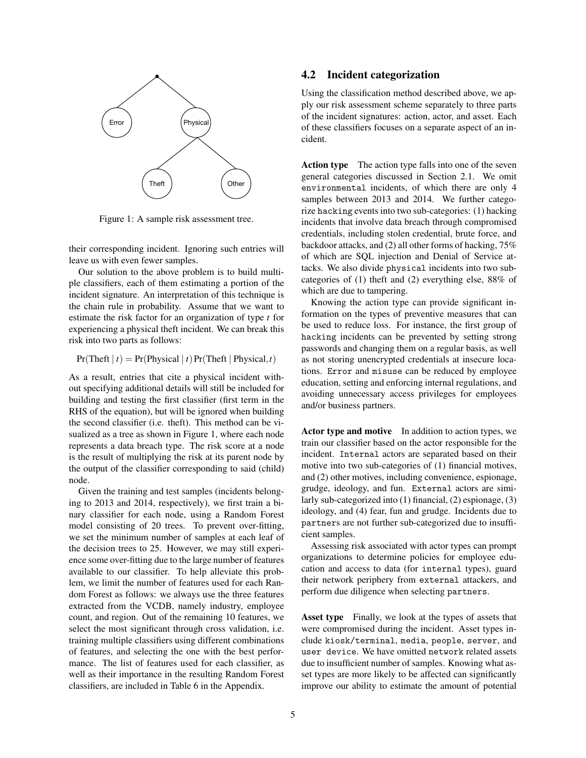

Figure 1: A sample risk assessment tree.

their corresponding incident. Ignoring such entries will leave us with even fewer samples.

Our solution to the above problem is to build multiple classifiers, each of them estimating a portion of the incident signature. An interpretation of this technique is the chain rule in probability. Assume that we want to estimate the risk factor for an organization of type *t* for experiencing a physical theft incident. We can break this risk into two parts as follows:

 $Pr(Theta | t) = Pr(Physical | t)Pr(Theta | t)$ 

As a result, entries that cite a physical incident without specifying additional details will still be included for building and testing the first classifier (first term in the RHS of the equation), but will be ignored when building the second classifier (i.e. theft). This method can be visualized as a tree as shown in Figure 1, where each node represents a data breach type. The risk score at a node is the result of multiplying the risk at its parent node by the output of the classifier corresponding to said (child) node.

Given the training and test samples (incidents belonging to 2013 and 2014, respectively), we first train a binary classifier for each node, using a Random Forest model consisting of 20 trees. To prevent over-fitting, we set the minimum number of samples at each leaf of the decision trees to 25. However, we may still experience some over-fitting due to the large number of features available to our classifier. To help alleviate this problem, we limit the number of features used for each Random Forest as follows: we always use the three features extracted from the VCDB, namely industry, employee count, and region. Out of the remaining 10 features, we select the most significant through cross validation, i.e. training multiple classifiers using different combinations of features, and selecting the one with the best performance. The list of features used for each classifier, as well as their importance in the resulting Random Forest classifiers, are included in Table 6 in the Appendix.

## 4.2 Incident categorization

Using the classification method described above, we apply our risk assessment scheme separately to three parts of the incident signatures: action, actor, and asset. Each of these classifiers focuses on a separate aspect of an incident.

Action type The action type falls into one of the seven general categories discussed in Section 2.1. We omit environmental incidents, of which there are only 4 samples between 2013 and 2014. We further categorize hacking events into two sub-categories: (1) hacking incidents that involve data breach through compromised credentials, including stolen credential, brute force, and backdoor attacks, and (2) all other forms of hacking, 75% of which are SQL injection and Denial of Service attacks. We also divide physical incidents into two subcategories of (1) theft and (2) everything else, 88% of which are due to tampering.

Knowing the action type can provide significant information on the types of preventive measures that can be used to reduce loss. For instance, the first group of hacking incidents can be prevented by setting strong passwords and changing them on a regular basis, as well as not storing unencrypted credentials at insecure locations. Error and misuse can be reduced by employee education, setting and enforcing internal regulations, and avoiding unnecessary access privileges for employees and/or business partners.

Actor type and motive In addition to action types, we train our classifier based on the actor responsible for the incident. Internal actors are separated based on their motive into two sub-categories of (1) financial motives, and (2) other motives, including convenience, espionage, grudge, ideology, and fun. External actors are similarly sub-categorized into (1) financial, (2) espionage, (3) ideology, and (4) fear, fun and grudge. Incidents due to partners are not further sub-categorized due to insufficient samples.

Assessing risk associated with actor types can prompt organizations to determine policies for employee education and access to data (for internal types), guard their network periphery from external attackers, and perform due diligence when selecting partners.

Asset type Finally, we look at the types of assets that were compromised during the incident. Asset types include kiosk/terminal, media, people, server, and user device. We have omitted network related assets due to insufficient number of samples. Knowing what asset types are more likely to be affected can significantly improve our ability to estimate the amount of potential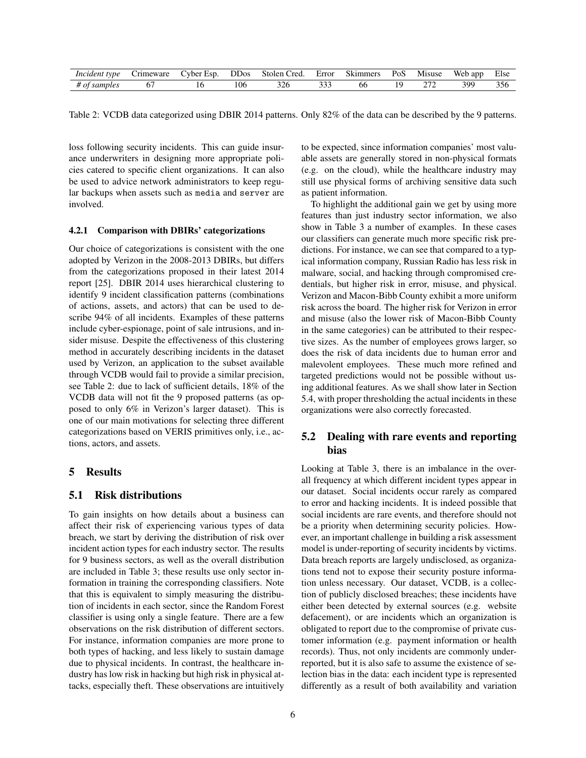| Inciden<br>true | 1 I C | vher<br>Esr | JD0s           | stoler<br>red<br>____      | Error                     | .ners<br>7 K LI | $\overline{\phantom{a}}$<br>U. | 1SUS6         | app | Else                 |
|-----------------|-------|-------------|----------------|----------------------------|---------------------------|-----------------|--------------------------------|---------------|-----|----------------------|
|                 |       | υ           | $\sim$<br>l Ot | $\sim$ $\sim$<br>---<br>__ | $\sim$ $\sim$ $\sim$<br>, | ხხ              |                                | $\sim$ $\sim$ | 300 | $\sim$ $\sim$<br>320 |

Table 2: VCDB data categorized using DBIR 2014 patterns. Only 82% of the data can be described by the 9 patterns.

loss following security incidents. This can guide insurance underwriters in designing more appropriate policies catered to specific client organizations. It can also be used to advice network administrators to keep regular backups when assets such as media and server are involved.

#### 4.2.1 Comparison with DBIRs' categorizations

Our choice of categorizations is consistent with the one adopted by Verizon in the 2008-2013 DBIRs, but differs from the categorizations proposed in their latest 2014 report [25]. DBIR 2014 uses hierarchical clustering to identify 9 incident classification patterns (combinations of actions, assets, and actors) that can be used to describe 94% of all incidents. Examples of these patterns include cyber-espionage, point of sale intrusions, and insider misuse. Despite the effectiveness of this clustering method in accurately describing incidents in the dataset used by Verizon, an application to the subset available through VCDB would fail to provide a similar precision, see Table 2: due to lack of sufficient details, 18% of the VCDB data will not fit the 9 proposed patterns (as opposed to only 6% in Verizon's larger dataset). This is one of our main motivations for selecting three different categorizations based on VERIS primitives only, i.e., actions, actors, and assets.

#### 5 Results

#### 5.1 Risk distributions

To gain insights on how details about a business can affect their risk of experiencing various types of data breach, we start by deriving the distribution of risk over incident action types for each industry sector. The results for 9 business sectors, as well as the overall distribution are included in Table 3; these results use only sector information in training the corresponding classifiers. Note that this is equivalent to simply measuring the distribution of incidents in each sector, since the Random Forest classifier is using only a single feature. There are a few observations on the risk distribution of different sectors. For instance, information companies are more prone to both types of hacking, and less likely to sustain damage due to physical incidents. In contrast, the healthcare industry has low risk in hacking but high risk in physical attacks, especially theft. These observations are intuitively to be expected, since information companies' most valuable assets are generally stored in non-physical formats (e.g. on the cloud), while the healthcare industry may still use physical forms of archiving sensitive data such as patient information.

To highlight the additional gain we get by using more features than just industry sector information, we also show in Table 3 a number of examples. In these cases our classifiers can generate much more specific risk predictions. For instance, we can see that compared to a typical information company, Russian Radio has less risk in malware, social, and hacking through compromised credentials, but higher risk in error, misuse, and physical. Verizon and Macon-Bibb County exhibit a more uniform risk across the board. The higher risk for Verizon in error and misuse (also the lower risk of Macon-Bibb County in the same categories) can be attributed to their respective sizes. As the number of employees grows larger, so does the risk of data incidents due to human error and malevolent employees. These much more refined and targeted predictions would not be possible without using additional features. As we shall show later in Section 5.4, with proper thresholding the actual incidents in these organizations were also correctly forecasted.

## 5.2 Dealing with rare events and reporting bias

Looking at Table 3, there is an imbalance in the overall frequency at which different incident types appear in our dataset. Social incidents occur rarely as compared to error and hacking incidents. It is indeed possible that social incidents are rare events, and therefore should not be a priority when determining security policies. However, an important challenge in building a risk assessment model is under-reporting of security incidents by victims. Data breach reports are largely undisclosed, as organizations tend not to expose their security posture information unless necessary. Our dataset, VCDB, is a collection of publicly disclosed breaches; these incidents have either been detected by external sources (e.g. website defacement), or are incidents which an organization is obligated to report due to the compromise of private customer information (e.g. payment information or health records). Thus, not only incidents are commonly underreported, but it is also safe to assume the existence of selection bias in the data: each incident type is represented differently as a result of both availability and variation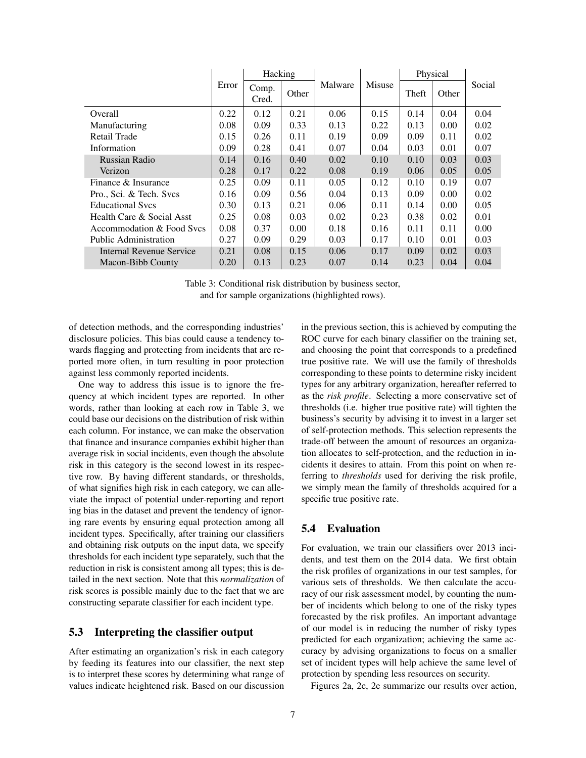|                              |       | Hacking        |       |         |               | Physical |       |        |
|------------------------------|-------|----------------|-------|---------|---------------|----------|-------|--------|
|                              | Error | Comp.<br>Cred. | Other | Malware | <b>Misuse</b> | Theft    | Other | Social |
| Overall                      | 0.22  | 0.12           | 0.21  | 0.06    | 0.15          | 0.14     | 0.04  | 0.04   |
| Manufacturing                | 0.08  | 0.09           | 0.33  | 0.13    | 0.22          | 0.13     | 0.00  | 0.02   |
| Retail Trade                 | 0.15  | 0.26           | 0.11  | 0.19    | 0.09          | 0.09     | 0.11  | 0.02   |
| Information                  | 0.09  | 0.28           | 0.41  | 0.07    | 0.04          | 0.03     | 0.01  | 0.07   |
| Russian Radio                | 0.14  | 0.16           | 0.40  | 0.02    | 0.10          | 0.10     | 0.03  | 0.03   |
| Verizon                      | 0.28  | 0.17           | 0.22  | 0.08    | 0.19          | 0.06     | 0.05  | 0.05   |
| Finance & Insurance          | 0.25  | 0.09           | 0.11  | 0.05    | 0.12          | 0.10     | 0.19  | 0.07   |
| Pro., Sci. & Tech. Svcs      | 0.16  | 0.09           | 0.56  | 0.04    | 0.13          | 0.09     | 0.00  | 0.02   |
| <b>Educational Sycs</b>      | 0.30  | 0.13           | 0.21  | 0.06    | 0.11          | 0.14     | 0.00  | 0.05   |
| Health Care & Social Asst    | 0.25  | 0.08           | 0.03  | 0.02    | 0.23          | 0.38     | 0.02  | 0.01   |
| Accommodation & Food Sycs    | 0.08  | 0.37           | 0.00  | 0.18    | 0.16          | 0.11     | 0.11  | 0.00   |
| <b>Public Administration</b> | 0.27  | 0.09           | 0.29  | 0.03    | 0.17          | 0.10     | 0.01  | 0.03   |
| Internal Revenue Service     | 0.21  | 0.08           | 0.15  | 0.06    | 0.17          | 0.09     | 0.02  | 0.03   |
| Macon-Bibb County            | 0.20  | 0.13           | 0.23  | 0.07    | 0.14          | 0.23     | 0.04  | 0.04   |

Table 3: Conditional risk distribution by business sector, and for sample organizations (highlighted rows).

of detection methods, and the corresponding industries' disclosure policies. This bias could cause a tendency towards flagging and protecting from incidents that are reported more often, in turn resulting in poor protection against less commonly reported incidents.

One way to address this issue is to ignore the frequency at which incident types are reported. In other words, rather than looking at each row in Table 3, we could base our decisions on the distribution of risk within each column. For instance, we can make the observation that finance and insurance companies exhibit higher than average risk in social incidents, even though the absolute risk in this category is the second lowest in its respective row. By having different standards, or thresholds, of what signifies high risk in each category, we can alleviate the impact of potential under-reporting and report ing bias in the dataset and prevent the tendency of ignoring rare events by ensuring equal protection among all incident types. Specifically, after training our classifiers and obtaining risk outputs on the input data, we specify thresholds for each incident type separately, such that the reduction in risk is consistent among all types; this is detailed in the next section. Note that this *normalization* of risk scores is possible mainly due to the fact that we are constructing separate classifier for each incident type.

## 5.3 Interpreting the classifier output

After estimating an organization's risk in each category by feeding its features into our classifier, the next step is to interpret these scores by determining what range of values indicate heightened risk. Based on our discussion in the previous section, this is achieved by computing the ROC curve for each binary classifier on the training set, and choosing the point that corresponds to a predefined true positive rate. We will use the family of thresholds corresponding to these points to determine risky incident types for any arbitrary organization, hereafter referred to as the *risk profile*. Selecting a more conservative set of thresholds (i.e. higher true positive rate) will tighten the business's security by advising it to invest in a larger set of self-protection methods. This selection represents the trade-off between the amount of resources an organization allocates to self-protection, and the reduction in incidents it desires to attain. From this point on when referring to *thresholds* used for deriving the risk profile, we simply mean the family of thresholds acquired for a specific true positive rate.

## 5.4 Evaluation

For evaluation, we train our classifiers over 2013 incidents, and test them on the 2014 data. We first obtain the risk profiles of organizations in our test samples, for various sets of thresholds. We then calculate the accuracy of our risk assessment model, by counting the number of incidents which belong to one of the risky types forecasted by the risk profiles. An important advantage of our model is in reducing the number of risky types predicted for each organization; achieving the same accuracy by advising organizations to focus on a smaller set of incident types will help achieve the same level of protection by spending less resources on security.

Figures 2a, 2c, 2e summarize our results over action,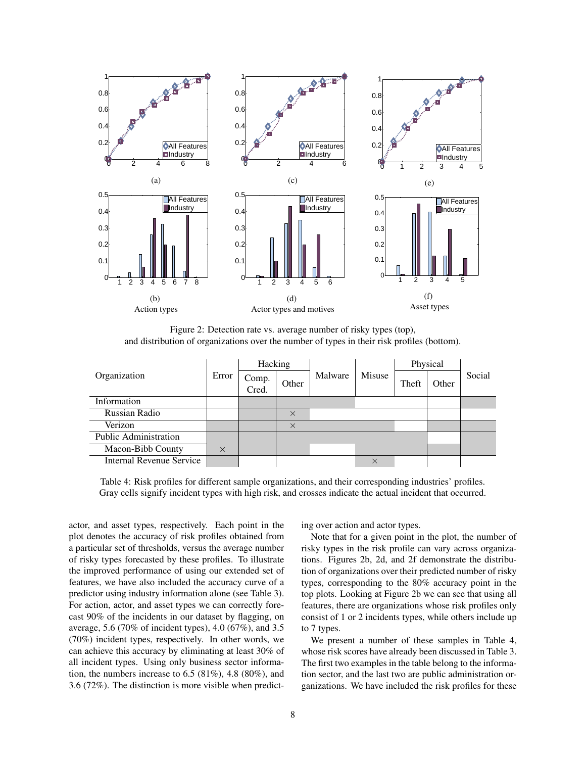

Figure 2: Detection rate vs. average number of risky types (top), and distribution of organizations over the number of types in their risk profiles (bottom).

|                              |          | Hacking        |          | Malware |          | Physical |       |        |
|------------------------------|----------|----------------|----------|---------|----------|----------|-------|--------|
| Organization                 | Error    | Comp.<br>Cred. | Other    |         | Misuse   | Theft    | Other | Social |
| Information                  |          |                |          |         |          |          |       |        |
| Russian Radio                |          |                | $\times$ |         |          |          |       |        |
| Verizon                      |          |                | $\times$ |         |          |          |       |        |
| <b>Public Administration</b> |          |                |          |         |          |          |       |        |
| Macon-Bibb County            | $\times$ |                |          |         |          |          |       |        |
| Internal Revenue Service     |          |                |          |         | $\times$ |          |       |        |

Table 4: Risk profiles for different sample organizations, and their corresponding industries' profiles. Gray cells signify incident types with high risk, and crosses indicate the actual incident that occurred.

actor, and asset types, respectively. Each point in the plot denotes the accuracy of risk profiles obtained from a particular set of thresholds, versus the average number of risky types forecasted by these profiles. To illustrate the improved performance of using our extended set of features, we have also included the accuracy curve of a predictor using industry information alone (see Table 3). For action, actor, and asset types we can correctly forecast 90% of the incidents in our dataset by flagging, on average, 5.6 (70% of incident types), 4.0 (67%), and 3.5 (70%) incident types, respectively. In other words, we can achieve this accuracy by eliminating at least 30% of all incident types. Using only business sector information, the numbers increase to  $6.5 (81\%)$ ,  $4.8 (80\%)$ , and 3.6 (72%). The distinction is more visible when predicting over action and actor types.

Note that for a given point in the plot, the number of risky types in the risk profile can vary across organizations. Figures 2b, 2d, and 2f demonstrate the distribution of organizations over their predicted number of risky types, corresponding to the 80% accuracy point in the top plots. Looking at Figure 2b we can see that using all features, there are organizations whose risk profiles only consist of 1 or 2 incidents types, while others include up to 7 types.

We present a number of these samples in Table 4, whose risk scores have already been discussed in Table 3. The first two examples in the table belong to the information sector, and the last two are public administration organizations. We have included the risk profiles for these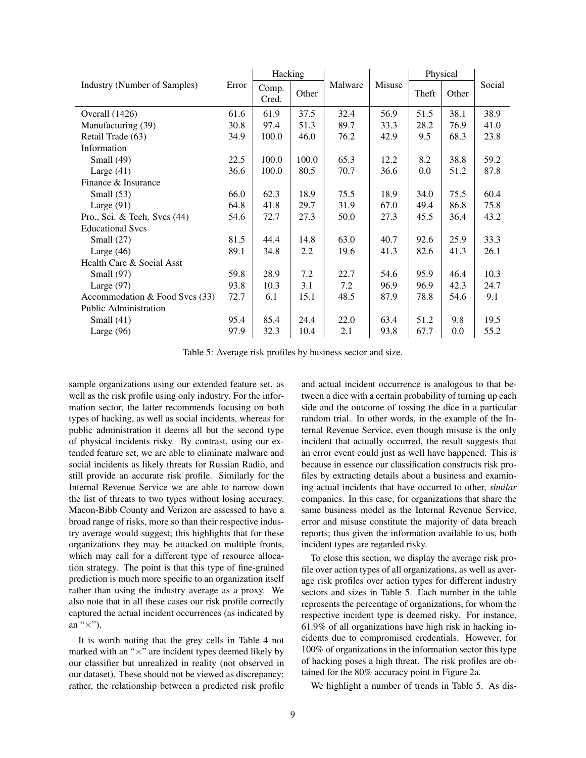|                                |       | Hacking        |       |         |        | Physical |       |        |
|--------------------------------|-------|----------------|-------|---------|--------|----------|-------|--------|
| Industry (Number of Samples)   | Error | Comp.<br>Cred. | Other | Malware | Misuse | Theft    | Other | Social |
| Overall $(1426)$               | 61.6  | 61.9           | 37.5  | 32.4    | 56.9   | 51.5     | 38.1  | 38.9   |
| Manufacturing (39)             | 30.8  | 97.4           | 51.3  | 89.7    | 33.3   | 28.2     | 76.9  | 41.0   |
| Retail Trade (63)              | 34.9  | 100.0          | 46.0  | 76.2    | 42.9   | 9.5      | 68.3  | 23.8   |
| Information                    |       |                |       |         |        |          |       |        |
| Small $(49)$                   | 22.5  | 100.0          | 100.0 | 65.3    | 12.2   | 8.2      | 38.8  | 59.2   |
| Large $(41)$                   | 36.6  | 100.0          | 80.5  | 70.7    | 36.6   | 0.0      | 51.2  | 87.8   |
| Finance & Insurance            |       |                |       |         |        |          |       |        |
| Small $(53)$                   | 66.0  | 62.3           | 18.9  | 75.5    | 18.9   | 34.0     | 75.5  | 60.4   |
| Large $(91)$                   | 64.8  | 41.8           | 29.7  | 31.9    | 67.0   | 49.4     | 86.8  | 75.8   |
| Pro., Sci. & Tech. Svcs $(44)$ | 54.6  | 72.7           | 27.3  | 50.0    | 27.3   | 45.5     | 36.4  | 43.2   |
| <b>Educational Sycs</b>        |       |                |       |         |        |          |       |        |
| Small $(27)$                   | 81.5  | 44.4           | 14.8  | 63.0    | 40.7   | 92.6     | 25.9  | 33.3   |
| Large $(46)$                   | 89.1  | 34.8           | 2.2   | 19.6    | 41.3   | 82.6     | 41.3  | 26.1   |
| Health Care & Social Asst      |       |                |       |         |        |          |       |        |
| Small $(97)$                   | 59.8  | 28.9           | 7.2   | 22.7    | 54.6   | 95.9     | 46.4  | 10.3   |
| Large $(97)$                   | 93.8  | 10.3           | 3.1   | 7.2     | 96.9   | 96.9     | 42.3  | 24.7   |
| Accommodation & Food Svcs (33) | 72.7  | 6.1            | 15.1  | 48.5    | 87.9   | 78.8     | 54.6  | 9.1    |
| <b>Public Administration</b>   |       |                |       |         |        |          |       |        |
| Small $(41)$                   | 95.4  | 85.4           | 24.4  | 22.0    | 63.4   | 51.2     | 9.8   | 19.5   |
| Large $(96)$                   | 97.9  | 32.3           | 10.4  | 2.1     | 93.8   | 67.7     | 0.0   | 55.2   |

Table 5: Average risk profiles by business sector and size.

sample organizations using our extended feature set, as well as the risk profile using only industry. For the information sector, the latter recommends focusing on both types of hacking, as well as social incidents, whereas for public administration it deems all but the second type of physical incidents risky. By contrast, using our extended feature set, we are able to eliminate malware and social incidents as likely threats for Russian Radio, and still provide an accurate risk profile. Similarly for the Internal Revenue Service we are able to narrow down the list of threats to two types without losing accuracy. Macon-Bibb County and Verizon are assessed to have a broad range of risks, more so than their respective industry average would suggest; this highlights that for these organizations they may be attacked on multiple fronts, which may call for a different type of resource allocation strategy. The point is that this type of fine-grained prediction is much more specific to an organization itself rather than using the industry average as a proxy. We also note that in all these cases our risk profile correctly captured the actual incident occurrences (as indicated by an " $\times$ ").

It is worth noting that the grey cells in Table 4 not marked with an " $\times$ " are incident types deemed likely by our classifier but unrealized in reality (not observed in our dataset). These should not be viewed as discrepancy; rather, the relationship between a predicted risk profile and actual incident occurrence is analogous to that between a dice with a certain probability of turning up each side and the outcome of tossing the dice in a particular random trial. In other words, in the example of the Internal Revenue Service, even though misuse is the only incident that actually occurred, the result suggests that an error event could just as well have happened. This is because in essence our classification constructs risk profiles by extracting details about a business and examining actual incidents that have occurred to other, *similar* companies. In this case, for organizations that share the same business model as the Internal Revenue Service, error and misuse constitute the majority of data breach reports; thus given the information available to us, both incident types are regarded risky.

To close this section, we display the average risk profile over action types of all organizations, as well as average risk profiles over action types for different industry sectors and sizes in Table 5. Each number in the table represents the percentage of organizations, for whom the respective incident type is deemed risky. For instance, 61.9% of all organizations have high risk in hacking incidents due to compromised credentials. However, for 100% of organizations in the information sector this type of hacking poses a high threat. The risk profiles are obtained for the 80% accuracy point in Figure 2a.

We highlight a number of trends in Table 5. As dis-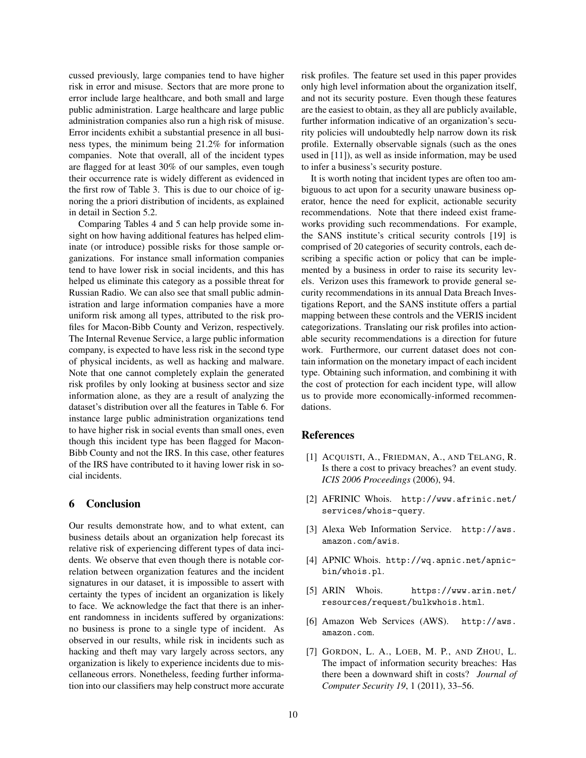cussed previously, large companies tend to have higher risk in error and misuse. Sectors that are more prone to error include large healthcare, and both small and large public administration. Large healthcare and large public administration companies also run a high risk of misuse. Error incidents exhibit a substantial presence in all business types, the minimum being 21.2% for information companies. Note that overall, all of the incident types are flagged for at least 30% of our samples, even tough their occurrence rate is widely different as evidenced in the first row of Table 3. This is due to our choice of ignoring the a priori distribution of incidents, as explained in detail in Section 5.2.

Comparing Tables 4 and 5 can help provide some insight on how having additional features has helped eliminate (or introduce) possible risks for those sample organizations. For instance small information companies tend to have lower risk in social incidents, and this has helped us eliminate this category as a possible threat for Russian Radio. We can also see that small public administration and large information companies have a more uniform risk among all types, attributed to the risk profiles for Macon-Bibb County and Verizon, respectively. The Internal Revenue Service, a large public information company, is expected to have less risk in the second type of physical incidents, as well as hacking and malware. Note that one cannot completely explain the generated risk profiles by only looking at business sector and size information alone, as they are a result of analyzing the dataset's distribution over all the features in Table 6. For instance large public administration organizations tend to have higher risk in social events than small ones, even though this incident type has been flagged for Macon-Bibb County and not the IRS. In this case, other features of the IRS have contributed to it having lower risk in social incidents.

#### 6 Conclusion

Our results demonstrate how, and to what extent, can business details about an organization help forecast its relative risk of experiencing different types of data incidents. We observe that even though there is notable correlation between organization features and the incident signatures in our dataset, it is impossible to assert with certainty the types of incident an organization is likely to face. We acknowledge the fact that there is an inherent randomness in incidents suffered by organizations: no business is prone to a single type of incident. As observed in our results, while risk in incidents such as hacking and theft may vary largely across sectors, any organization is likely to experience incidents due to miscellaneous errors. Nonetheless, feeding further information into our classifiers may help construct more accurate risk profiles. The feature set used in this paper provides only high level information about the organization itself, and not its security posture. Even though these features are the easiest to obtain, as they all are publicly available, further information indicative of an organization's security policies will undoubtedly help narrow down its risk profile. Externally observable signals (such as the ones used in [11]), as well as inside information, may be used to infer a business's security posture.

It is worth noting that incident types are often too ambiguous to act upon for a security unaware business operator, hence the need for explicit, actionable security recommendations. Note that there indeed exist frameworks providing such recommendations. For example, the SANS institute's critical security controls [19] is comprised of 20 categories of security controls, each describing a specific action or policy that can be implemented by a business in order to raise its security levels. Verizon uses this framework to provide general security recommendations in its annual Data Breach Investigations Report, and the SANS institute offers a partial mapping between these controls and the VERIS incident categorizations. Translating our risk profiles into actionable security recommendations is a direction for future work. Furthermore, our current dataset does not contain information on the monetary impact of each incident type. Obtaining such information, and combining it with the cost of protection for each incident type, will allow us to provide more economically-informed recommendations.

#### References

- [1] ACQUISTI, A., FRIEDMAN, A., AND TELANG, R. Is there a cost to privacy breaches? an event study. *ICIS 2006 Proceedings* (2006), 94.
- [2] AFRINIC Whois. http://www.afrinic.net/ services/whois-query.
- [3] Alexa Web Information Service. http://aws. amazon.com/awis.
- [4] APNIC Whois. http://wq.apnic.net/apnicbin/whois.pl.
- [5] ARIN Whois. https://www.arin.net/ resources/request/bulkwhois.html.
- [6] Amazon Web Services (AWS). http://aws. amazon.com.
- [7] GORDON, L. A., LOEB, M. P., AND ZHOU, L. The impact of information security breaches: Has there been a downward shift in costs? *Journal of Computer Security 19*, 1 (2011), 33–56.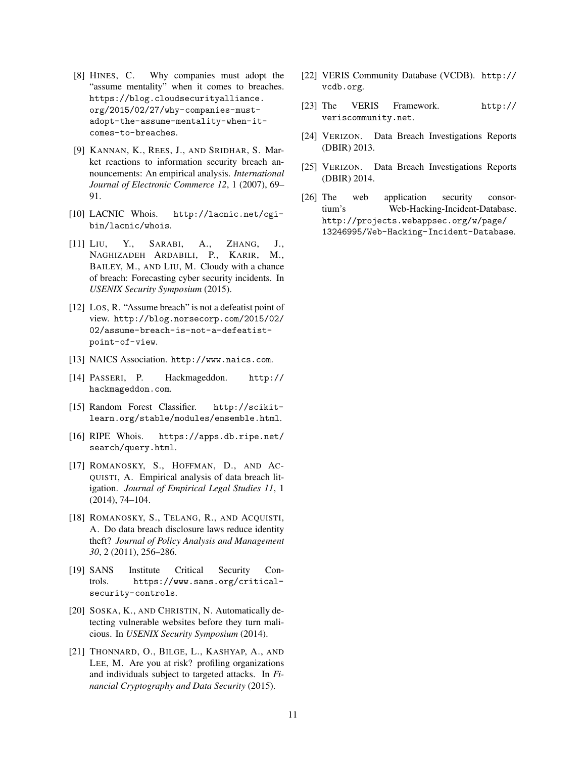- [8] HINES, C. Why companies must adopt the "assume mentality" when it comes to breaches. https://blog.cloudsecurityalliance. org/2015/02/27/why-companies-mustadopt-the-assume-mentality-when-itcomes-to-breaches.
- [9] KANNAN, K., REES, J., AND SRIDHAR, S. Market reactions to information security breach announcements: An empirical analysis. *International Journal of Electronic Commerce 12*, 1 (2007), 69– 91.
- [10] LACNIC Whois. http://lacnic.net/cgibin/lacnic/whois.
- [11] LIU, Y., SARABI, A., ZHANG, J., NAGHIZADEH ARDABILI, P., KARIR, M., BAILEY, M., AND LIU, M. Cloudy with a chance of breach: Forecasting cyber security incidents. In *USENIX Security Symposium* (2015).
- [12] Los, R. "Assume breach" is not a defeatist point of view. http://blog.norsecorp.com/2015/02/ 02/assume-breach-is-not-a-defeatistpoint-of-view.
- [13] NAICS Association. http://www.naics.com.
- [14] PASSERI, P. Hackmageddon. http:// hackmageddon.com.
- [15] Random Forest Classifier. http://scikitlearn.org/stable/modules/ensemble.html.
- [16] RIPE Whois. https://apps.db.ripe.net/ search/query.html.
- [17] ROMANOSKY, S., HOFFMAN, D., AND AC-QUISTI, A. Empirical analysis of data breach litigation. *Journal of Empirical Legal Studies 11*, 1 (2014), 74–104.
- [18] ROMANOSKY, S., TELANG, R., AND ACQUISTI, A. Do data breach disclosure laws reduce identity theft? *Journal of Policy Analysis and Management 30*, 2 (2011), 256–286.
- [19] SANS Institute Critical Security Controls. https://www.sans.org/criticalsecurity-controls.
- [20] SOSKA, K., AND CHRISTIN, N. Automatically detecting vulnerable websites before they turn malicious. In *USENIX Security Symposium* (2014).
- [21] THONNARD, O., BILGE, L., KASHYAP, A., AND LEE, M. Are you at risk? profiling organizations and individuals subject to targeted attacks. In *Financial Cryptography and Data Security* (2015).
- [22] VERIS Community Database (VCDB). http:// vcdb.org.
- [23] The VERIS Framework. http:// veriscommunity.net.
- [24] VERIZON. Data Breach Investigations Reports (DBIR) 2013.
- [25] VERIZON. Data Breach Investigations Reports (DBIR) 2014.
- [26] The web application security consortium's Web-Hacking-Incident-Database. http://projects.webappsec.org/w/page/ 13246995/Web-Hacking-Incident-Database.